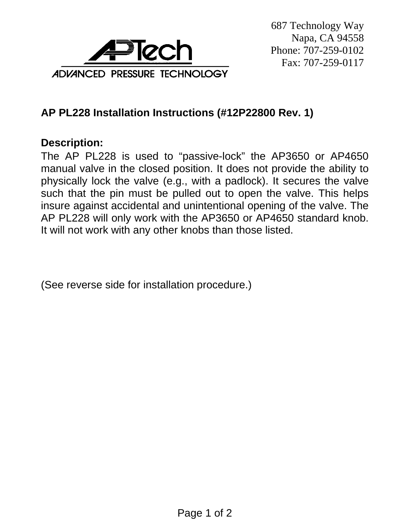

## **AP PL228 Installation Instructions (#12P22800 Rev. 1)**

## **Description:**

The AP PL228 is used to "passive-lock" the AP3650 or AP4650 manual valve in the closed position. It does not provide the ability to physically lock the valve (e.g., with a padlock). It secures the valve such that the pin must be pulled out to open the valve. This helps insure against accidental and unintentional opening of the valve. The AP PL228 will only work with the AP3650 or AP4650 standard knob. It will not work with any other knobs than those listed.

(See reverse side for installation procedure.)